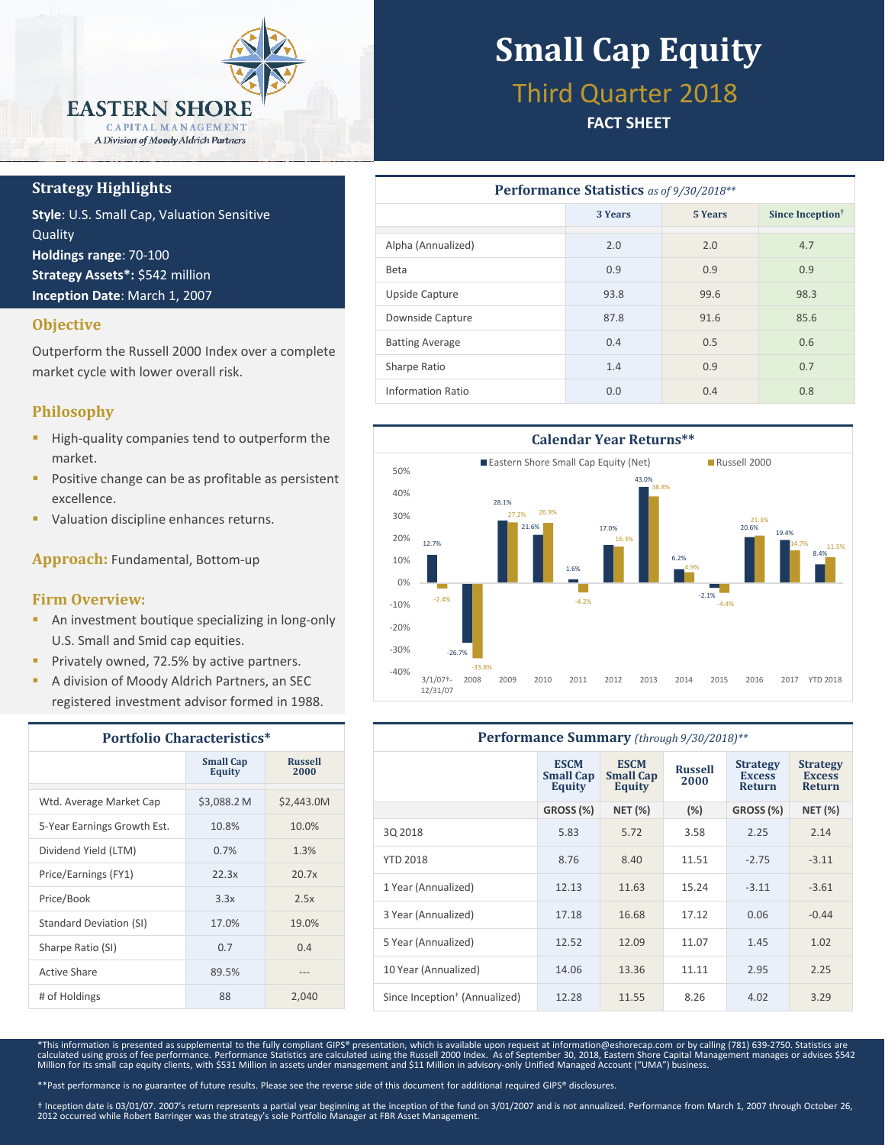

## **Strategy Highlights**

**Style**: U.S. Small Cap, Valuation Sensitive **Quality Holdings range**: 70-100 **Strategy Assets\*:** \$542 million **Inception Date**: March 1, 2007

## **Objective**

Outperform the Russell 2000 Index over a complete market cycle with lower overall risk.

## **Philosophy**

- High-quality companies tend to outperform the market.
- Positive change can be as profitable as persistent excellence.
- Valuation discipline enhances returns.

**Approach:** Fundamental, Bottom-up

### **Firm Overview:**

- **An investment boutique specializing in long-only** U.S. Small and Smid cap equities.
- Privately owned, 72.5% by active partners.
- A division of Moody Aldrich Partners, an SEC registered investment advisor formed in 1988.

| <b>Portfolio Characteristics*</b> |                                   |                        |  |
|-----------------------------------|-----------------------------------|------------------------|--|
|                                   | <b>Small Cap</b><br><b>Equity</b> | <b>Russell</b><br>2000 |  |
| Wtd. Average Market Cap           | \$3,088.2 M                       | \$2,443.0M             |  |
| 5-Year Earnings Growth Est.       | 10.8%                             | 10.0%                  |  |
| Dividend Yield (LTM)              | 0.7%                              | 1.3%                   |  |
| Price/Earnings (FY1)              | 22.3x                             | 20.7x                  |  |
| Price/Book                        | 3.3x                              | 2.5x                   |  |
| Standard Deviation (SI)           | 17.0%                             | 19.0%                  |  |
| Sharpe Ratio (SI)                 | 0.7                               | 0.4                    |  |
| Active Share                      | 89.5%                             |                        |  |
| # of Holdings                     | 88                                | 2,040                  |  |

# **Small Cap Equity**

## Third Quarter 2018

## **FACT SHEET**

| <b>Performance Statistics</b> as of 9/30/2018** |         |                |                              |  |
|-------------------------------------------------|---------|----------------|------------------------------|--|
|                                                 | 3 Years | <b>5 Years</b> | Since Inception <sup>†</sup> |  |
| Alpha (Annualized)                              | 2.0     | 2.0            | 4.7                          |  |
| <b>Beta</b>                                     | 0.9     | 0.9            | 0.9                          |  |
| Upside Capture                                  | 93.8    | 99.6           | 98.3                         |  |
| Downside Capture                                | 87.8    | 91.6           | 85.6                         |  |
| <b>Batting Average</b>                          | 0.4     | 0.5            | 0.6                          |  |
| Sharpe Ratio                                    | 1.4     | 0.9            | 0.7                          |  |
| Information Ratio                               | 0.0     | 0.4            | 0.8                          |  |



| Performance Summary (through 9/30/2018)** |                                                  |                                                  |                        |                                                   |                                                   |
|-------------------------------------------|--------------------------------------------------|--------------------------------------------------|------------------------|---------------------------------------------------|---------------------------------------------------|
|                                           | <b>ESCM</b><br><b>Small Cap</b><br><b>Equity</b> | <b>ESCM</b><br><b>Small Cap</b><br><b>Equity</b> | <b>Russell</b><br>2000 | <b>Strategy</b><br><b>Excess</b><br><b>Return</b> | <b>Strategy</b><br><b>Excess</b><br><b>Return</b> |
|                                           | GROSS (%)                                        | <b>NET (%)</b>                                   | (%)                    | GROSS (%)                                         | <b>NET (%)</b>                                    |
| 30 2018                                   | 5.83                                             | 5.72                                             | 3.58                   | 2.25                                              | 2.14                                              |
| <b>YTD 2018</b>                           | 8.76                                             | 8.40                                             | 11.51                  | $-2.75$                                           | $-3.11$                                           |
| 1 Year (Annualized)                       | 12.13                                            | 11.63                                            | 15.24                  | $-3.11$                                           | $-3.61$                                           |
| 3 Year (Annualized)                       | 17.18                                            | 16.68                                            | 17.12                  | 0.06                                              | $-0.44$                                           |
| 5 Year (Annualized)                       | 12.52                                            | 12.09                                            | 11.07                  | 1.45                                              | 1.02                                              |
| 10 Year (Annualized)                      | 14.06                                            | 13.36                                            | 11.11                  | 2.95                                              | 2.25                                              |
| Since Inception <sup>†</sup> (Annualized) | 12.28                                            | 11.55                                            | 8.26                   | 4.02                                              | 3.29                                              |

\*This information is presented as supplemental to the fully compliant GIPS® presentation, which is available upon request at information@eshorecap.com or by calling (781) 639-2750. Statistics are<br>calculated using gross of

\*\*Past performance is no guarantee of future results. Please see the reverse side of this document for additional required GIPS® disclosures.

† Inception date is 03/01/07. 2007's return represents a partial year beginning at the inception of the fund on 3/01/2007 and is not annualized. Performance from March 1, 2007 through October 26,<br>2012 occurred while Robert